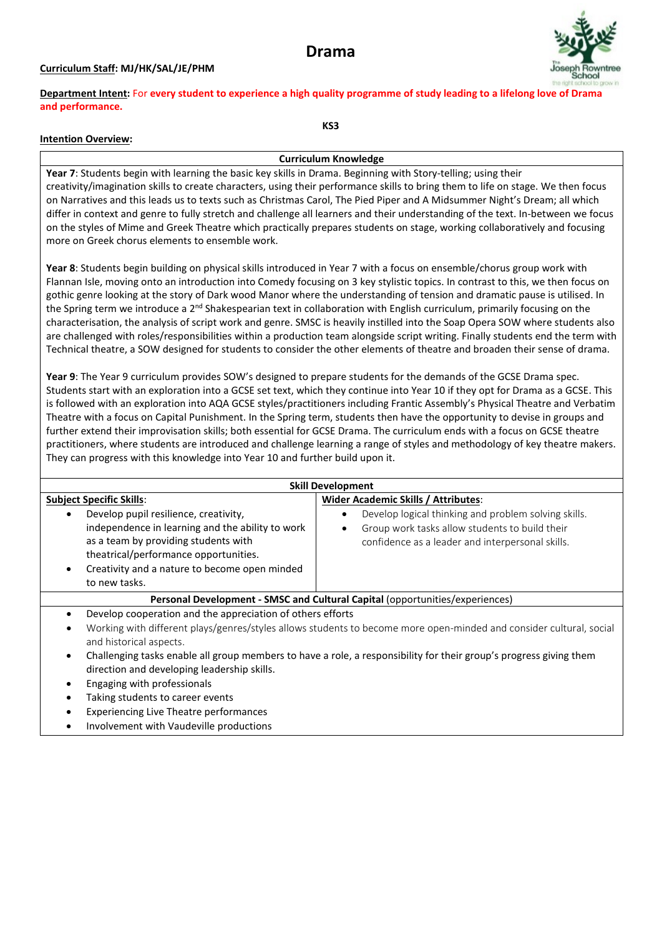# **Drama**

## **Curriculum Staff: MJ/HK/SAL/JE/PHM**



**Department Intent:** For **every student to experience a high quality programme of study leading to a lifelong [love of Drama](http://www.google.co.uk/url?sa=i&rct=j&q=joseph+rowntree+school&source=images&cd=&docid=pvpe50c-uUQHZM&tbnid=FheMEzMdvtoWwM:&ved=0CAUQjRw&url=http://www.numu.org.uk/station_about.asp?lngSiteID=3389&ei=Zg5DUc-OE-Sq0QWz_YDQBw&psig=AFQjCNFC3IZ1ccHZ7Q4HLZLIhN02oMws1Q&ust=1363434927182377)  and performance.**

### **Intention Overview:**

**Curriculum Knowledge**

**KS3**

**Year 7**: Students begin with learning the basic key skills in Drama. Beginning with Story-telling; using their creativity/imagination skills to create characters, using their performance skills to bring them to life on stage. We then focus on Narratives and this leads us to texts such as Christmas Carol, The Pied Piper and A Midsummer Night's Dream; all which differ in context and genre to fully stretch and challenge all learners and their understanding of the text. In-between we focus on the styles of Mime and Greek Theatre which practically prepares students on stage, working collaboratively and focusing more on Greek chorus elements to ensemble work.

**Year 8**: Students begin building on physical skills introduced in Year 7 with a focus on ensemble/chorus group work with Flannan Isle, moving onto an introduction into Comedy focusing on 3 key stylistic topics. In contrast to this, we then focus on gothic genre looking at the story of Dark wood Manor where the understanding of tension and dramatic pause is utilised. In the Spring term we introduce a 2<sup>nd</sup> Shakespearian text in collaboration with English curriculum, primarily focusing on the characterisation, the analysis of script work and genre. SMSC is heavily instilled into the Soap Opera SOW where students also are challenged with roles/responsibilities within a production team alongside script writing. Finally students end the term with Technical theatre, a SOW designed for students to consider the other elements of theatre and broaden their sense of drama.

**Year 9**: The Year 9 curriculum provides SOW's designed to prepare students for the demands of the GCSE Drama spec. Students start with an exploration into a GCSE set text, which they continue into Year 10 if they opt for Drama as a GCSE. This is followed with an exploration into AQA GCSE styles/practitioners including Frantic Assembly's Physical Theatre and Verbatim Theatre with a focus on Capital Punishment. In the Spring term, students then have the opportunity to devise in groups and further extend their improvisation skills; both essential for GCSE Drama. The curriculum ends with a focus on GCSE theatre practitioners, where students are introduced and challenge learning a range of styles and methodology of key theatre makers. They can progress with this knowledge into Year 10 and further build upon it.

| <b>Skill Development</b>                                                                                                                                                                                                                                               |                                                                                                                                                            |  |
|------------------------------------------------------------------------------------------------------------------------------------------------------------------------------------------------------------------------------------------------------------------------|------------------------------------------------------------------------------------------------------------------------------------------------------------|--|
| <b>Subject Specific Skills:</b>                                                                                                                                                                                                                                        | <b>Wider Academic Skills / Attributes:</b>                                                                                                                 |  |
| Develop pupil resilience, creativity,<br>$\bullet$<br>independence in learning and the ability to work<br>as a team by providing students with<br>theatrical/performance opportunities.<br>Creativity and a nature to become open minded<br>$\bullet$<br>to new tasks. | Develop logical thinking and problem solving skills.<br>Group work tasks allow students to build their<br>confidence as a leader and interpersonal skills. |  |
| Personal Development - SMSC and Cultural Capital (opportunities/experiences)                                                                                                                                                                                           |                                                                                                                                                            |  |
| Develop cooperation and the appreciation of others efforts<br>$\bullet$                                                                                                                                                                                                |                                                                                                                                                            |  |
| Working with different plays/genres/styles allows students to become more open-minded and consider cultural, social<br>$\bullet$<br>and historical aspects.                                                                                                            |                                                                                                                                                            |  |
| Challenging tasks enable all group members to have a role, a responsibility for their group's progress giving them<br>$\bullet$<br>direction and developing leadership skills.                                                                                         |                                                                                                                                                            |  |
| Engaging with professionals<br>$\bullet$                                                                                                                                                                                                                               |                                                                                                                                                            |  |
| Taking students to career events<br>$\bullet$                                                                                                                                                                                                                          |                                                                                                                                                            |  |
| <b>Experiencing Live Theatre performances</b><br>$\bullet$                                                                                                                                                                                                             |                                                                                                                                                            |  |
| Involvement with Vaudeville productions<br>$\bullet$                                                                                                                                                                                                                   |                                                                                                                                                            |  |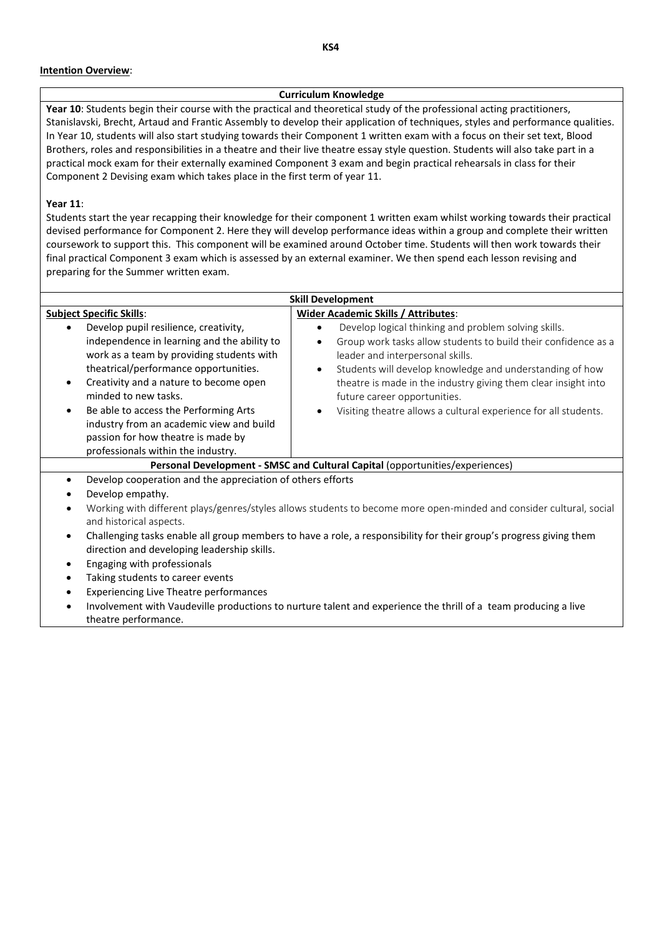#### **Intention Overview**:

#### **Curriculum Knowledge**

**Year 10**: Students begin their course with the practical and theoretical study of the professional acting practitioners, Stanislavski, Brecht, Artaud and Frantic Assembly to develop their application of techniques, styles and performance qualities. In Year 10, students will also start studying towards their Component 1 written exam with a focus on their set text, Blood Brothers, roles and responsibilities in a theatre and their live theatre essay style question. Students will also take part in a practical mock exam for their externally examined Component 3 exam and begin practical rehearsals in class for their Component 2 Devising exam which takes place in the first term of year 11.

#### **Year 11**:

Students start the year recapping their knowledge for their component 1 written exam whilst working towards their practical devised performance for Component 2. Here they will develop performance ideas within a group and complete their written coursework to support this. This component will be examined around October time. Students will then work towards their final practical Component 3 exam which is assessed by an external examiner. We then spend each lesson revising and preparing for the Summer written exam.

| <b>Skill Development</b>                                                                                                                                                                                                                                                                                                                                                                                                                |                                                                                                                                                                                                                                                                                                                                                                                                                                    |  |
|-----------------------------------------------------------------------------------------------------------------------------------------------------------------------------------------------------------------------------------------------------------------------------------------------------------------------------------------------------------------------------------------------------------------------------------------|------------------------------------------------------------------------------------------------------------------------------------------------------------------------------------------------------------------------------------------------------------------------------------------------------------------------------------------------------------------------------------------------------------------------------------|--|
| <b>Subject Specific Skills:</b>                                                                                                                                                                                                                                                                                                                                                                                                         | <b>Wider Academic Skills / Attributes:</b>                                                                                                                                                                                                                                                                                                                                                                                         |  |
| Develop pupil resilience, creativity,<br>independence in learning and the ability to<br>work as a team by providing students with<br>theatrical/performance opportunities.<br>Creativity and a nature to become open<br>$\bullet$<br>minded to new tasks.<br>Be able to access the Performing Arts<br>$\bullet$<br>industry from an academic view and build<br>passion for how theatre is made by<br>professionals within the industry. | Develop logical thinking and problem solving skills.<br>$\bullet$<br>Group work tasks allow students to build their confidence as a<br>$\bullet$<br>leader and interpersonal skills.<br>Students will develop knowledge and understanding of how<br>$\bullet$<br>theatre is made in the industry giving them clear insight into<br>future career opportunities.<br>Visiting theatre allows a cultural experience for all students. |  |
| Personal Development - SMSC and Cultural Capital (opportunities/experiences)                                                                                                                                                                                                                                                                                                                                                            |                                                                                                                                                                                                                                                                                                                                                                                                                                    |  |
| Develop cooperation and the appreciation of others efforts<br>$\bullet$<br>Develop empathy.<br>Working with different plays/genres/styles allows students to become more open-minded and consider cultural, social<br>$\bullet$<br>and historical aspects.                                                                                                                                                                              |                                                                                                                                                                                                                                                                                                                                                                                                                                    |  |
| $\bullet$<br>direction and developing leadership skills.<br>Engaging with professionals<br>$\bullet$<br>Taking students to career events<br>$\bullet$<br><b>Experiencing Live Theatre performances</b><br>$\bullet$<br>$\bullet$<br>theatre performance.                                                                                                                                                                                | Challenging tasks enable all group members to have a role, a responsibility for their group's progress giving them<br>Involvement with Vaudeville productions to nurture talent and experience the thrill of a team producing a live                                                                                                                                                                                               |  |